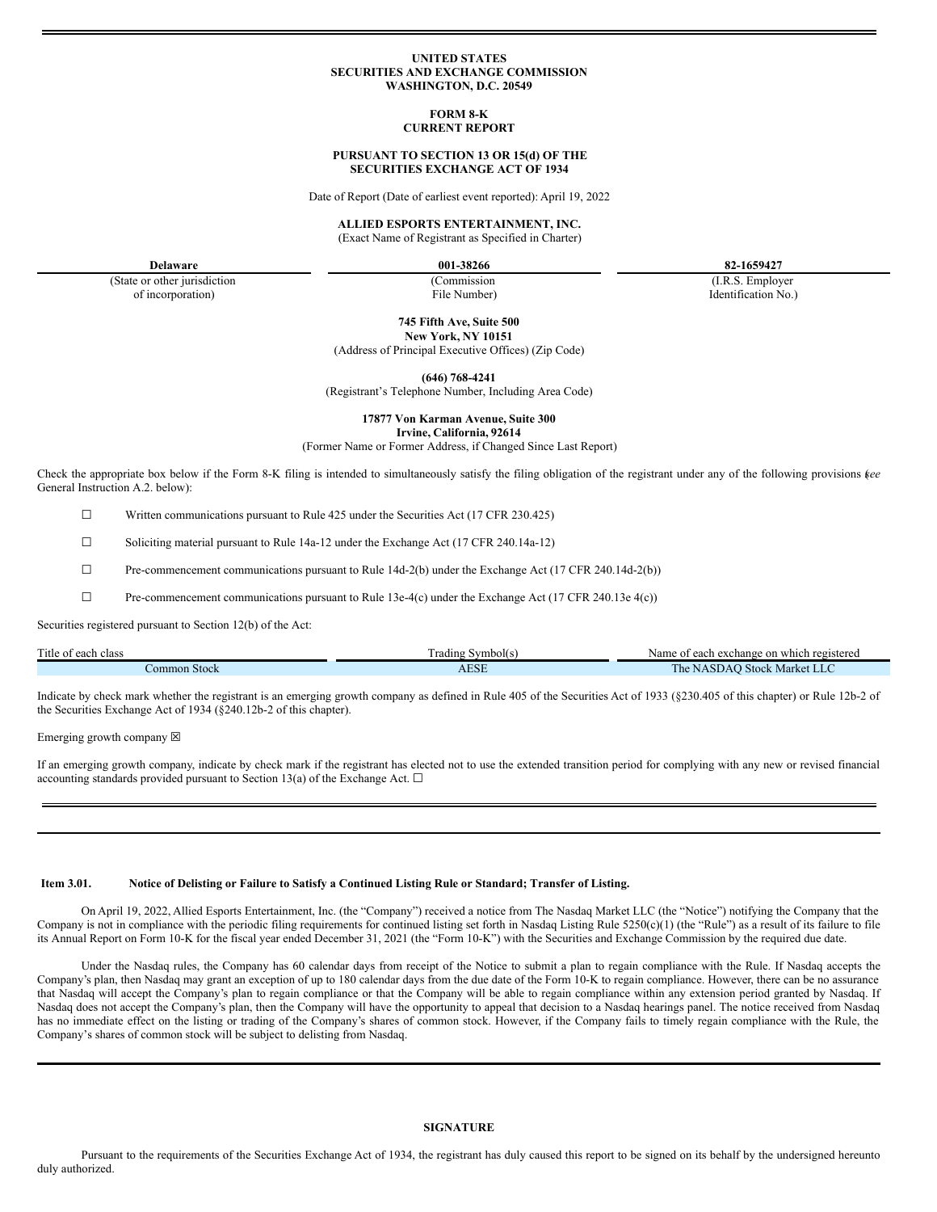## **UNITED STATES SECURITIES AND EXCHANGE COMMISSION WASHINGTON, D.C. 20549**

## **FORM 8-K CURRENT REPORT**

#### **PURSUANT TO SECTION 13 OR 15(d) OF THE SECURITIES EXCHANGE ACT OF 1934**

Date of Report (Date of earliest event reported): April 19, 2022

#### **ALLIED ESPORTS ENTERTAINMENT, INC.**

(Exact Name of Registrant as Specified in Charter)

**Delaware 001-38266 82-1659427**

(State or other jurisdiction of incorporation)

(Commission File Number)

(I.R.S. Employer Identification No.)

**745 Fifth Ave, Suite 500**

**New York, NY 10151** (Address of Principal Executive Offices) (Zip Code)

**(646) 768-4241**

(Registrant's Telephone Number, Including Area Code)

**17877 Von Karman Avenue, Suite 300**

**Irvine, California, 92614** (Former Name or Former Address, if Changed Since Last Report)

Check the appropriate box below if the Form 8-K filing is intended to simultaneously satisfy the filing obligation of the registrant under any of the following provisions (*see* General Instruction A.2. below):

☐ Written communications pursuant to Rule 425 under the Securities Act (17 CFR 230.425)

 $\Box$  Soliciting material pursuant to Rule 14a-12 under the Exchange Act (17 CFR 240.14a-12)

☐ Pre-commencement communications pursuant to Rule 14d-2(b) under the Exchange Act (17 CFR 240.14d-2(b))

☐ Pre-commencement communications pursuant to Rule 13e-4(c) under the Exchange Act (17 CFR 240.13e 4(c))

Securities registered pursuant to Section 12(b) of the Act:

| Title of each class | Symbol(s)<br>l radıng | Name of<br>h registerea<br>r each exchange<br>a whic<br><sub>on</sub> |
|---------------------|-----------------------|-----------------------------------------------------------------------|
| Common Stock        | <b>AESE</b>           | m<br>Stock<br>. he N<br>Market LLC<br>AA31P                           |

Indicate by check mark whether the registrant is an emerging growth company as defined in Rule 405 of the Securities Act of 1933 (§230.405 of this chapter) or Rule 12b-2 of the Securities Exchange Act of 1934 (§240.12b-2 of this chapter).

Emerging growth company  $\boxtimes$ 

If an emerging growth company, indicate by check mark if the registrant has elected not to use the extended transition period for complying with any new or revised financial accounting standards provided pursuant to Section 13(a) of the Exchange Act.  $\square$ 

## Item 3.01. Notice of Delisting or Failure to Satisfy a Continued Listing Rule or Standard; Transfer of Listing.

On April 19, 2022, Allied Esports Entertainment, Inc. (the "Company") received a notice from The Nasdaq Market LLC (the "Notice") notifying the Company that the Company is not in compliance with the periodic filing requirements for continued listing set forth in Nasdaq Listing Rule 5250(c)(1) (the "Rule") as a result of its failure to file its Annual Report on Form 10-K for the fiscal year ended December 31, 2021 (the "Form 10-K") with the Securities and Exchange Commission by the required due date.

Under the Nasdaq rules, the Company has 60 calendar days from receipt of the Notice to submit a plan to regain compliance with the Rule. If Nasdaq accepts the Company's plan, then Nasdaq may grant an exception of up to 180 calendar days from the due date of the Form 10-K to regain compliance. However, there can be no assurance that Nasdaq will accept the Company's plan to regain compliance or that the Company will be able to regain compliance within any extension period granted by Nasdaq. If Nasdaq does not accept the Company's plan, then the Company will have the opportunity to appeal that decision to a Nasdaq hearings panel. The notice received from Nasdaq has no immediate effect on the listing or trading of the Company's shares of common stock. However, if the Company fails to timely regain compliance with the Rule, the Company's shares of common stock will be subject to delisting from Nasdaq.

### **SIGNATURE**

Pursuant to the requirements of the Securities Exchange Act of 1934, the registrant has duly caused this report to be signed on its behalf by the undersigned hereunto duly authorized.